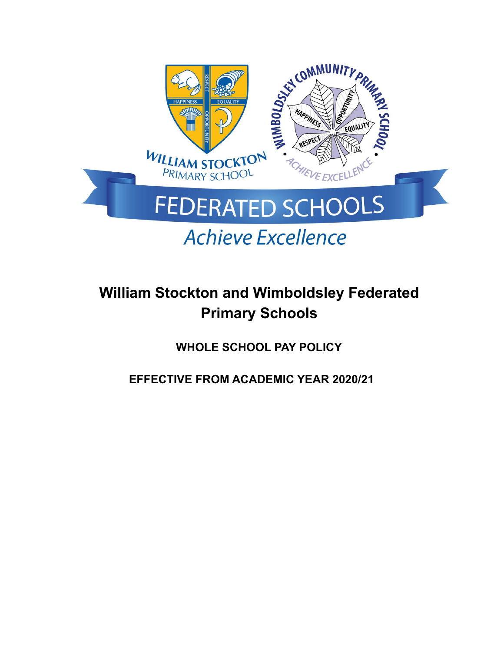

# **William Stockton and Wimboldsley Federated Primary Schools**

**WHOLE SCHOOL PAY POLICY**

**EFFECTIVE FROM ACADEMIC YEAR 2020/21**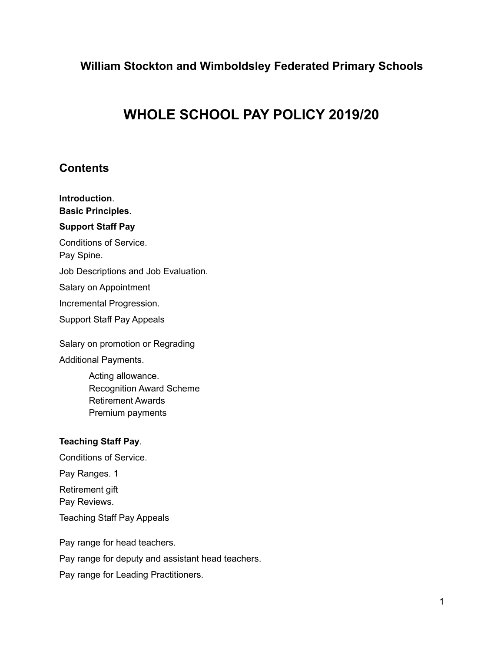# **William Stockton and Wimboldsley Federated Primary Schools**

# **WHOLE SCHOOL PAY POLICY 2019/20**

# **Contents**

**Introduction**. **Basic Principles**. **Support Staff Pay** Conditions of Service. Pay Spine. Job Descriptions and Job Evaluation. Salary on Appointment Incremental Progression. Support Staff Pay Appeals

Salary on promotion or Regrading Additional Payments.

> Acting allowance. Recognition Award Scheme Retirement Awards Premium payments

### **Teaching Staff Pay**.

Conditions of Service. Pay Ranges. 1 Retirement gift Pay Reviews. Teaching Staff Pay Appeals

Pay range for head teachers. Pay range for deputy and assistant head teachers. Pay range for Leading Practitioners.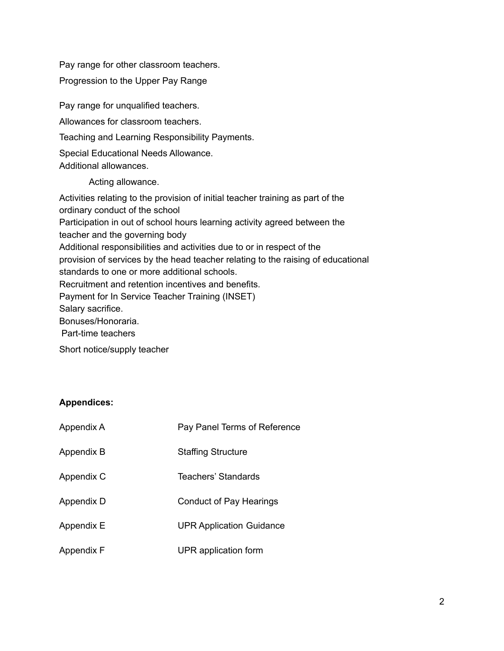Pay range for other classroom teachers.

Progression to the Upper Pay Range

Pay range for unqualified teachers. Allowances for classroom teachers. Teaching and Learning Responsibility Payments. Special Educational Needs Allowance. Additional allowances. Acting allowance. Activities relating to the provision of initial teacher training as part of the ordinary conduct of the school Participation in out of school hours learning activity agreed between the teacher and the governing body Additional responsibilities and activities due to or in respect of the provision of services by the head teacher relating to the raising of educational standards to one or more additional schools. Recruitment and retention incentives and benefits. Payment for In Service Teacher Training (INSET) Salary sacrifice. Bonuses/Honoraria. Part-time teachers

Short notice/supply teacher

### **Appendices:**

| Appendix A | Pay Panel Terms of Reference    |
|------------|---------------------------------|
| Appendix B | <b>Staffing Structure</b>       |
| Appendix C | Teachers' Standards             |
| Appendix D | Conduct of Pay Hearings         |
| Appendix E | <b>UPR Application Guidance</b> |
| Appendix F | UPR application form            |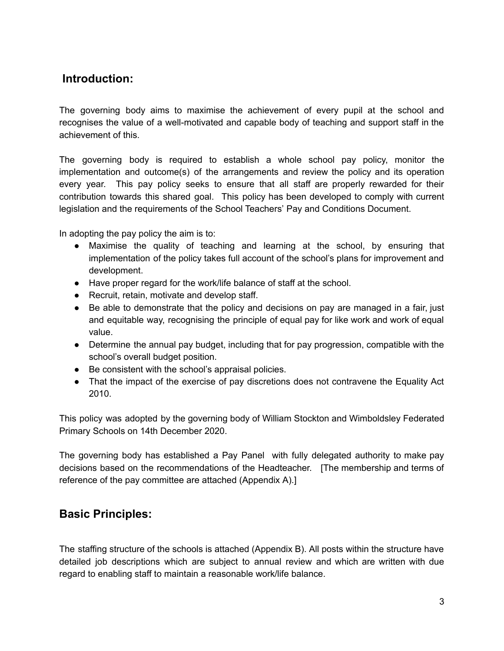# **Introduction:**

The governing body aims to maximise the achievement of every pupil at the school and recognises the value of a well-motivated and capable body of teaching and support staff in the achievement of this.

The governing body is required to establish a whole school pay policy, monitor the implementation and outcome(s) of the arrangements and review the policy and its operation every year. This pay policy seeks to ensure that all staff are properly rewarded for their contribution towards this shared goal. This policy has been developed to comply with current legislation and the requirements of the School Teachers' Pay and Conditions Document.

In adopting the pay policy the aim is to:

- Maximise the quality of teaching and learning at the school, by ensuring that implementation of the policy takes full account of the school's plans for improvement and development.
- Have proper regard for the work/life balance of staff at the school.
- Recruit, retain, motivate and develop staff.
- Be able to demonstrate that the policy and decisions on pay are managed in a fair, just and equitable way, recognising the principle of equal pay for like work and work of equal value.
- Determine the annual pay budget, including that for pay progression, compatible with the school's overall budget position.
- Be consistent with the school's appraisal policies.
- That the impact of the exercise of pay discretions does not contravene the Equality Act 2010.

This policy was adopted by the governing body of William Stockton and Wimboldsley Federated Primary Schools on 14th December 2020.

The governing body has established a Pay Panel with fully delegated authority to make pay decisions based on the recommendations of the Headteacher. [The membership and terms of reference of the pay committee are attached (Appendix A).]

# **Basic Principles:**

The staffing structure of the schools is attached (Appendix B). All posts within the structure have detailed job descriptions which are subject to annual review and which are written with due regard to enabling staff to maintain a reasonable work/life balance.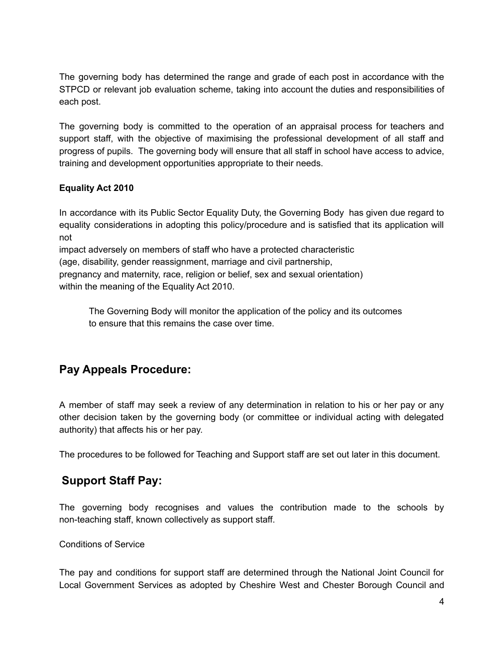The governing body has determined the range and grade of each post in accordance with the STPCD or relevant job evaluation scheme, taking into account the duties and responsibilities of each post.

The governing body is committed to the operation of an appraisal process for teachers and support staff, with the objective of maximising the professional development of all staff and progress of pupils. The governing body will ensure that all staff in school have access to advice, training and development opportunities appropriate to their needs.

# **Equality Act 2010**

In accordance with its Public Sector Equality Duty, the Governing Body has given due regard to equality considerations in adopting this policy/procedure and is satisfied that its application will not

impact adversely on members of staff who have a protected characteristic

(age, disability, gender reassignment, marriage and civil partnership,

pregnancy and maternity, race, religion or belief, sex and sexual orientation)

within the meaning of the Equality Act 2010.

The Governing Body will monitor the application of the policy and its outcomes to ensure that this remains the case over time.

# **Pay Appeals Procedure:**

A member of staff may seek a review of any determination in relation to his or her pay or any other decision taken by the governing body (or committee or individual acting with delegated authority) that affects his or her pay.

The procedures to be followed for Teaching and Support staff are set out later in this document.

# **Support Staff Pay:**

The governing body recognises and values the contribution made to the schools by non-teaching staff, known collectively as support staff.

### Conditions of Service

The pay and conditions for support staff are determined through the National Joint Council for Local Government Services as adopted by Cheshire West and Chester Borough Council and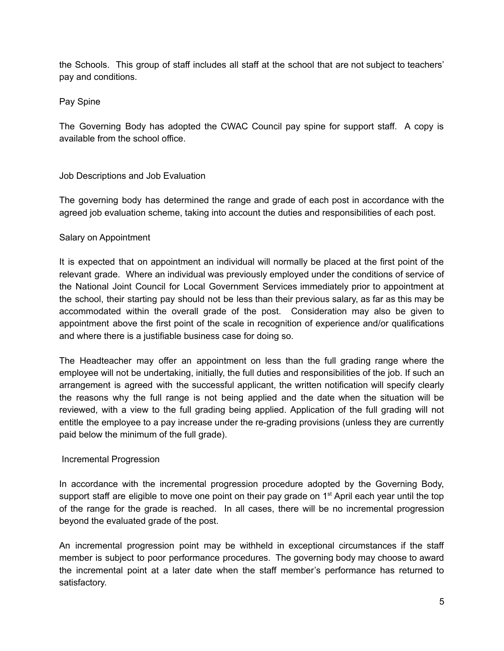the Schools. This group of staff includes all staff at the school that are not subject to teachers' pay and conditions.

Pay Spine

The Governing Body has adopted the CWAC Council pay spine for support staff. A copy is available from the school office.

# Job Descriptions and Job Evaluation

The governing body has determined the range and grade of each post in accordance with the agreed job evaluation scheme, taking into account the duties and responsibilities of each post.

# Salary on Appointment

It is expected that on appointment an individual will normally be placed at the first point of the relevant grade. Where an individual was previously employed under the conditions of service of the National Joint Council for Local Government Services immediately prior to appointment at the school, their starting pay should not be less than their previous salary, as far as this may be accommodated within the overall grade of the post. Consideration may also be given to appointment above the first point of the scale in recognition of experience and/or qualifications and where there is a justifiable business case for doing so.

The Headteacher may offer an appointment on less than the full grading range where the employee will not be undertaking, initially, the full duties and responsibilities of the job. If such an arrangement is agreed with the successful applicant, the written notification will specify clearly the reasons why the full range is not being applied and the date when the situation will be reviewed, with a view to the full grading being applied. Application of the full grading will not entitle the employee to a pay increase under the re-grading provisions (unless they are currently paid below the minimum of the full grade).

### Incremental Progression

In accordance with the incremental progression procedure adopted by the Governing Body, support staff are eligible to move one point on their pay grade on 1<sup>st</sup> April each year until the top of the range for the grade is reached. In all cases, there will be no incremental progression beyond the evaluated grade of the post.

An incremental progression point may be withheld in exceptional circumstances if the staff member is subject to poor performance procedures. The governing body may choose to award the incremental point at a later date when the staff member's performance has returned to satisfactory.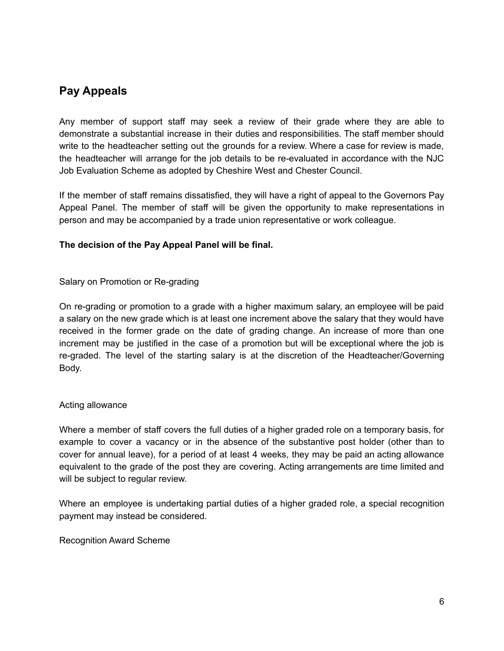# **Pay Appeals**

Any member of support staff may seek a review of their grade where they are able to demonstrate a substantial increase in their duties and responsibilities. The staff member should write to the headteacher setting out the grounds for a review. Where a case for review is made, the headteacher will arrange for the job details to be re-evaluated in accordance with the NJC Job Evaluation Scheme as adopted by Cheshire West and Chester Council.

If the member of staff remains dissatisfied, they will have a right of appeal to the Governors Pay Appeal Panel. The member of staff will be given the opportunity to make representations in person and may be accompanied by a trade union representative or work colleague.

### **The decision of the Pay Appeal Panel will be final.**

Salary on Promotion or Re-grading

On re-grading or promotion to a grade with a higher maximum salary, an employee will be paid a salary on the new grade which is at least one increment above the salary that they would have received in the former grade on the date of grading change. An increase of more than one increment may be justified in the case of a promotion but will be exceptional where the job is re-graded. The level of the starting salary is at the discretion of the Headteacher/Governing Body.

### Acting allowance

Where a member of staff covers the full duties of a higher graded role on a temporary basis, for example to cover a vacancy or in the absence of the substantive post holder (other than to cover for annual leave), for a period of at least 4 weeks, they may be paid an acting allowance equivalent to the grade of the post they are covering. Acting arrangements are time limited and will be subject to regular review.

Where an employee is undertaking partial duties of a higher graded role, a special recognition payment may instead be considered.

Recognition Award Scheme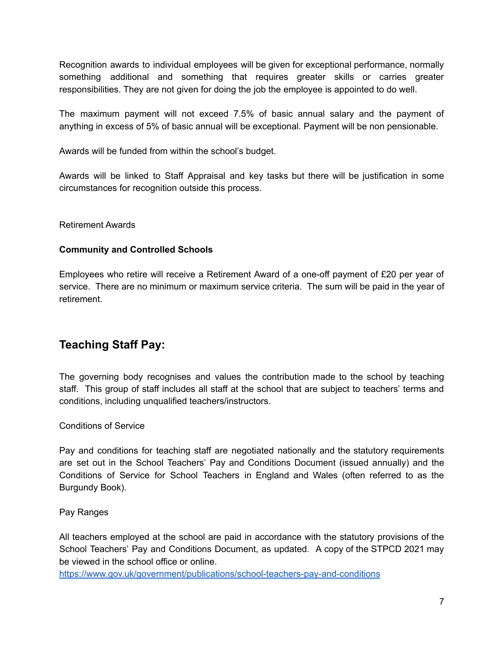Recognition awards to individual employees will be given for exceptional performance, normally something additional and something that requires greater skills or carries greater responsibilities. They are not given for doing the job the employee is appointed to do well.

The maximum payment will not exceed 7.5% of basic annual salary and the payment of anything in excess of 5% of basic annual will be exceptional. Payment will be non pensionable.

Awards will be funded from within the school's budget.

Awards will be linked to Staff Appraisal and key tasks but there will be justification in some circumstances for recognition outside this process.

### Retirement Awards

### **Community and Controlled Schools**

Employees who retire will receive a Retirement Award of a one-off payment of £20 per year of service. There are no minimum or maximum service criteria. The sum will be paid in the year of retirement.

# **Teaching Staff Pay:**

The governing body recognises and values the contribution made to the school by teaching staff. This group of staff includes all staff at the school that are subject to teachers' terms and conditions, including unqualified teachers/instructors.

### Conditions of Service

Pay and conditions for teaching staff are negotiated nationally and the statutory requirements are set out in the School Teachers' Pay and Conditions Document (issued annually) and the Conditions of Service for School Teachers in England and Wales (often referred to as the Burgundy Book).

### Pay Ranges

All teachers employed at the school are paid in accordance with the statutory provisions of the School Teachers' Pay and Conditions Document, as updated. A copy of the STPCD 2021 may be viewed in the school office or online.

<https://www.gov.uk/government/publications/school-teachers-pay-and-conditions>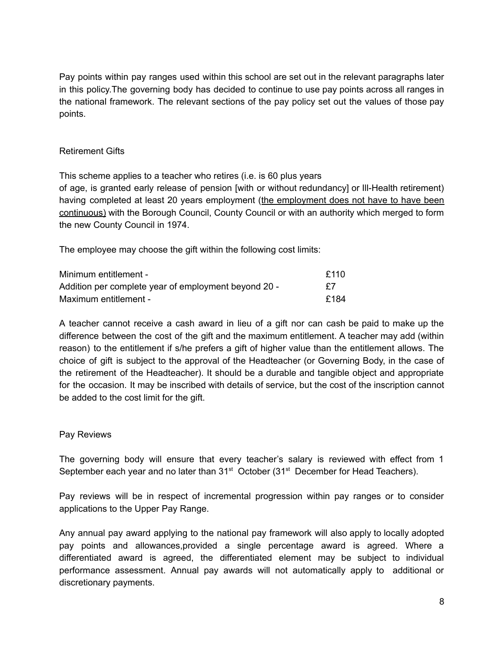Pay points within pay ranges used within this school are set out in the relevant paragraphs later in this policy.The governing body has decided to continue to use pay points across all ranges in the national framework. The relevant sections of the pay policy set out the values of those pay points.

### Retirement Gifts

This scheme applies to a teacher who retires (i.e. is 60 plus years of age, is granted early release of pension [with or without redundancy] or Ill-Health retirement) having completed at least 20 years employment (the employment does not have to have been continuous) with the Borough Council, County Council or with an authority which merged to form the new County Council in 1974.

The employee may choose the gift within the following cost limits:

| Minimum entitlement -                                | f110 |
|------------------------------------------------------|------|
| Addition per complete year of employment beyond 20 - | £7   |
| Maximum entitlement -                                | £184 |

A teacher cannot receive a cash award in lieu of a gift nor can cash be paid to make up the difference between the cost of the gift and the maximum entitlement. A teacher may add (within reason) to the entitlement if s/he prefers a gift of higher value than the entitlement allows. The choice of gift is subject to the approval of the Headteacher (or Governing Body, in the case of the retirement of the Headteacher). It should be a durable and tangible object and appropriate for the occasion. It may be inscribed with details of service, but the cost of the inscription cannot be added to the cost limit for the gift.

### Pay Reviews

The governing body will ensure that every teacher's salary is reviewed with effect from 1 September each year and no later than 31<sup>st</sup> October (31<sup>st</sup> December for Head Teachers).

Pay reviews will be in respect of incremental progression within pay ranges or to consider applications to the Upper Pay Range.

Any annual pay award applying to the national pay framework will also apply to locally adopted pay points and allowances,provided a single percentage award is agreed. Where a differentiated award is agreed, the differentiated element may be subject to individual performance assessment. Annual pay awards will not automatically apply to additional or discretionary payments.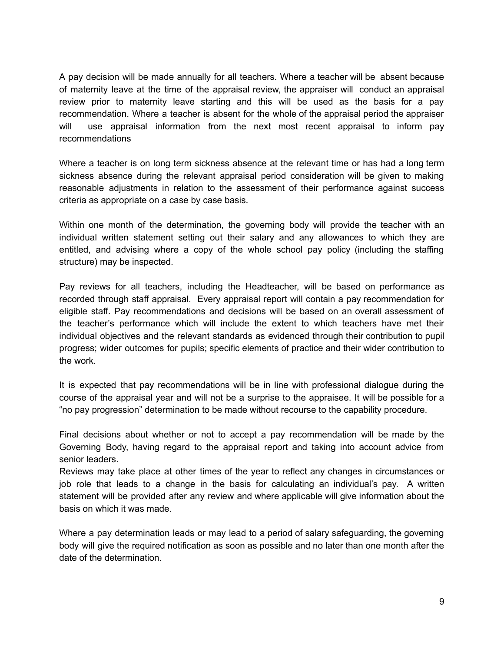A pay decision will be made annually for all teachers. Where a teacher will be absent because of maternity leave at the time of the appraisal review, the appraiser will conduct an appraisal review prior to maternity leave starting and this will be used as the basis for a pay recommendation. Where a teacher is absent for the whole of the appraisal period the appraiser will use appraisal information from the next most recent appraisal to inform pay recommendations

Where a teacher is on long term sickness absence at the relevant time or has had a long term sickness absence during the relevant appraisal period consideration will be given to making reasonable adjustments in relation to the assessment of their performance against success criteria as appropriate on a case by case basis.

Within one month of the determination, the governing body will provide the teacher with an individual written statement setting out their salary and any allowances to which they are entitled, and advising where a copy of the whole school pay policy (including the staffing structure) may be inspected.

Pay reviews for all teachers, including the Headteacher, will be based on performance as recorded through staff appraisal. Every appraisal report will contain a pay recommendation for eligible staff. Pay recommendations and decisions will be based on an overall assessment of the teacher's performance which will include the extent to which teachers have met their individual objectives and the relevant standards as evidenced through their contribution to pupil progress; wider outcomes for pupils; specific elements of practice and their wider contribution to the work.

It is expected that pay recommendations will be in line with professional dialogue during the course of the appraisal year and will not be a surprise to the appraisee. It will be possible for a "no pay progression" determination to be made without recourse to the capability procedure.

Final decisions about whether or not to accept a pay recommendation will be made by the Governing Body, having regard to the appraisal report and taking into account advice from senior leaders.

Reviews may take place at other times of the year to reflect any changes in circumstances or job role that leads to a change in the basis for calculating an individual's pay. A written statement will be provided after any review and where applicable will give information about the basis on which it was made.

Where a pay determination leads or may lead to a period of salary safeguarding, the governing body will give the required notification as soon as possible and no later than one month after the date of the determination.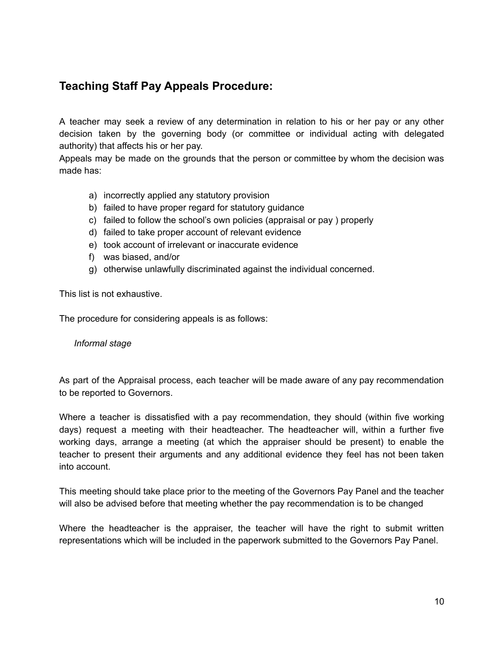# **Teaching Staff Pay Appeals Procedure:**

A teacher may seek a review of any determination in relation to his or her pay or any other decision taken by the governing body (or committee or individual acting with delegated authority) that affects his or her pay.

Appeals may be made on the grounds that the person or committee by whom the decision was made has:

- a) incorrectly applied any statutory provision
- b) failed to have proper regard for statutory guidance
- c) failed to follow the school's own policies (appraisal or pay ) properly
- d) failed to take proper account of relevant evidence
- e) took account of irrelevant or inaccurate evidence
- f) was biased, and/or
- g) otherwise unlawfully discriminated against the individual concerned.

This list is not exhaustive.

The procedure for considering appeals is as follows:

#### *Informal stage*

As part of the Appraisal process, each teacher will be made aware of any pay recommendation to be reported to Governors.

Where a teacher is dissatisfied with a pay recommendation, they should (within five working days) request a meeting with their headteacher. The headteacher will, within a further five working days, arrange a meeting (at which the appraiser should be present) to enable the teacher to present their arguments and any additional evidence they feel has not been taken into account.

This meeting should take place prior to the meeting of the Governors Pay Panel and the teacher will also be advised before that meeting whether the pay recommendation is to be changed

Where the headteacher is the appraiser, the teacher will have the right to submit written representations which will be included in the paperwork submitted to the Governors Pay Panel.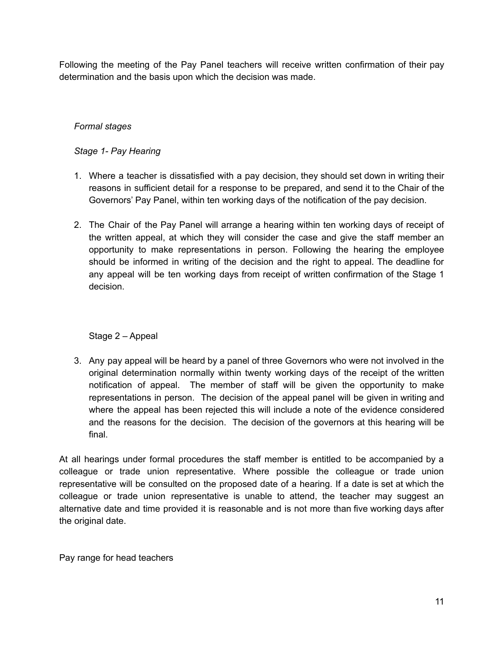Following the meeting of the Pay Panel teachers will receive written confirmation of their pay determination and the basis upon which the decision was made.

### *Formal stages*

### *Stage 1- Pay Hearing*

- 1. Where a teacher is dissatisfied with a pay decision, they should set down in writing their reasons in sufficient detail for a response to be prepared, and send it to the Chair of the Governors' Pay Panel, within ten working days of the notification of the pay decision.
- 2. The Chair of the Pay Panel will arrange a hearing within ten working days of receipt of the written appeal, at which they will consider the case and give the staff member an opportunity to make representations in person. Following the hearing the employee should be informed in writing of the decision and the right to appeal. The deadline for any appeal will be ten working days from receipt of written confirmation of the Stage 1 decision.

### Stage 2 – Appeal

3. Any pay appeal will be heard by a panel of three Governors who were not involved in the original determination normally within twenty working days of the receipt of the written notification of appeal. The member of staff will be given the opportunity to make representations in person. The decision of the appeal panel will be given in writing and where the appeal has been rejected this will include a note of the evidence considered and the reasons for the decision. The decision of the governors at this hearing will be final.

At all hearings under formal procedures the staff member is entitled to be accompanied by a colleague or trade union representative. Where possible the colleague or trade union representative will be consulted on the proposed date of a hearing. If a date is set at which the colleague or trade union representative is unable to attend, the teacher may suggest an alternative date and time provided it is reasonable and is not more than five working days after the original date.

Pay range for head teachers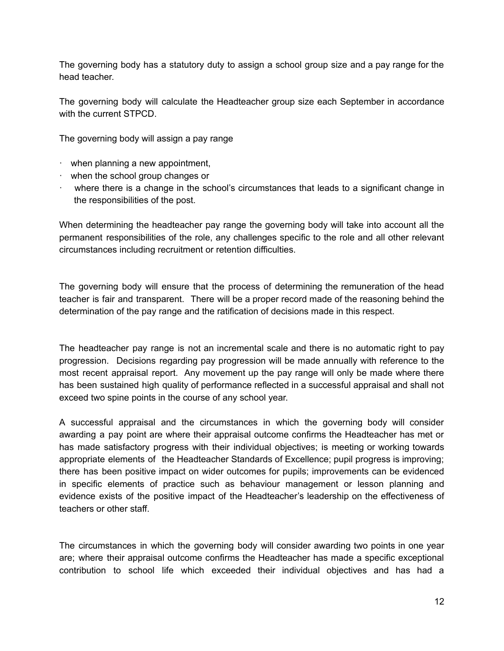The governing body has a statutory duty to assign a school group size and a pay range for the head teacher.

The governing body will calculate the Headteacher group size each September in accordance with the current STPCD.

The governing body will assign a pay range

- · when planning a new appointment,
- · when the school group changes or
- · where there is a change in the school's circumstances that leads to a significant change in the responsibilities of the post.

When determining the headteacher pay range the governing body will take into account all the permanent responsibilities of the role, any challenges specific to the role and all other relevant circumstances including recruitment or retention difficulties.

The governing body will ensure that the process of determining the remuneration of the head teacher is fair and transparent. There will be a proper record made of the reasoning behind the determination of the pay range and the ratification of decisions made in this respect.

The headteacher pay range is not an incremental scale and there is no automatic right to pay progression. Decisions regarding pay progression will be made annually with reference to the most recent appraisal report. Any movement up the pay range will only be made where there has been sustained high quality of performance reflected in a successful appraisal and shall not exceed two spine points in the course of any school year.

A successful appraisal and the circumstances in which the governing body will consider awarding a pay point are where their appraisal outcome confirms the Headteacher has met or has made satisfactory progress with their individual objectives; is meeting or working towards appropriate elements of the Headteacher Standards of Excellence; pupil progress is improving; there has been positive impact on wider outcomes for pupils; improvements can be evidenced in specific elements of practice such as behaviour management or lesson planning and evidence exists of the positive impact of the Headteacher's leadership on the effectiveness of teachers or other staff.

The circumstances in which the governing body will consider awarding two points in one year are; where their appraisal outcome confirms the Headteacher has made a specific exceptional contribution to school life which exceeded their individual objectives and has had a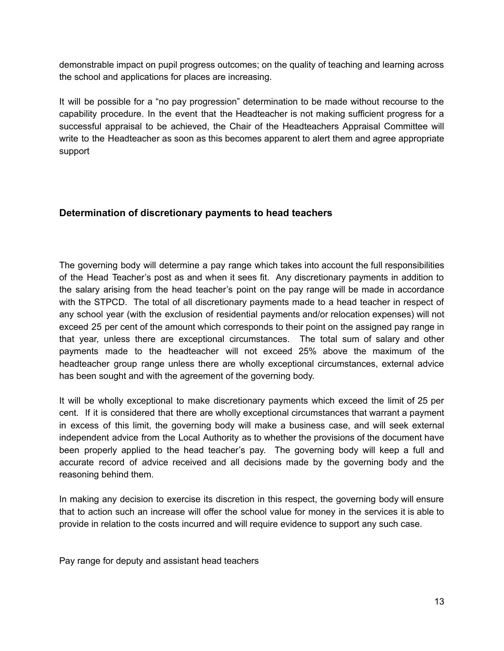demonstrable impact on pupil progress outcomes; on the quality of teaching and learning across the school and applications for places are increasing.

It will be possible for a "no pay progression" determination to be made without recourse to the capability procedure. In the event that the Headteacher is not making sufficient progress for a successful appraisal to be achieved, the Chair of the Headteachers Appraisal Committee will write to the Headteacher as soon as this becomes apparent to alert them and agree appropriate support

# **Determination of discretionary payments to head teachers**

The governing body will determine a pay range which takes into account the full responsibilities of the Head Teacher's post as and when it sees fit. Any discretionary payments in addition to the salary arising from the head teacher's point on the pay range will be made in accordance with the STPCD. The total of all discretionary payments made to a head teacher in respect of any school year (with the exclusion of residential payments and/or relocation expenses) will not exceed 25 per cent of the amount which corresponds to their point on the assigned pay range in that year, unless there are exceptional circumstances. The total sum of salary and other payments made to the headteacher will not exceed 25% above the maximum of the headteacher group range unless there are wholly exceptional circumstances, external advice has been sought and with the agreement of the governing body.

It will be wholly exceptional to make discretionary payments which exceed the limit of 25 per cent. If it is considered that there are wholly exceptional circumstances that warrant a payment in excess of this limit, the governing body will make a business case, and will seek external independent advice from the Local Authority as to whether the provisions of the document have been properly applied to the head teacher's pay. The governing body will keep a full and accurate record of advice received and all decisions made by the governing body and the reasoning behind them.

In making any decision to exercise its discretion in this respect, the governing body will ensure that to action such an increase will offer the school value for money in the services it is able to provide in relation to the costs incurred and will require evidence to support any such case.

Pay range for deputy and assistant head teachers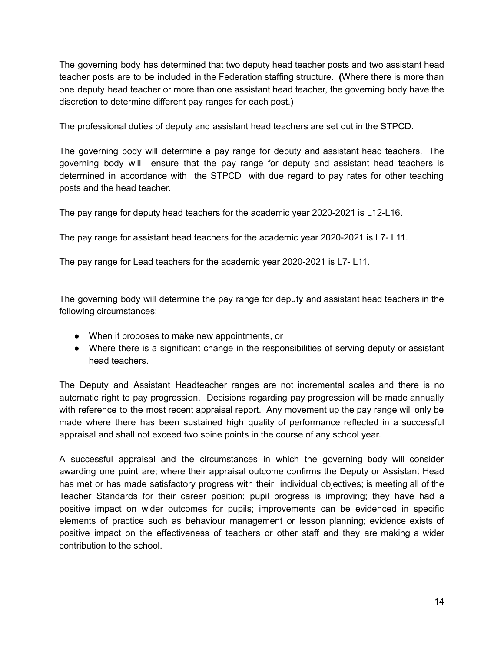The governing body has determined that two deputy head teacher posts and two assistant head teacher posts are to be included in the Federation staffing structure. **(**Where there is more than one deputy head teacher or more than one assistant head teacher, the governing body have the discretion to determine different pay ranges for each post.)

The professional duties of deputy and assistant head teachers are set out in the STPCD.

The governing body will determine a pay range for deputy and assistant head teachers. The governing body will ensure that the pay range for deputy and assistant head teachers is determined in accordance with the STPCD with due regard to pay rates for other teaching posts and the head teacher.

The pay range for deputy head teachers for the academic year 2020-2021 is L12-L16.

The pay range for assistant head teachers for the academic year 2020-2021 is L7- L11.

The pay range for Lead teachers for the academic year 2020-2021 is L7- L11.

The governing body will determine the pay range for deputy and assistant head teachers in the following circumstances:

- When it proposes to make new appointments, or
- Where there is a significant change in the responsibilities of serving deputy or assistant head teachers.

The Deputy and Assistant Headteacher ranges are not incremental scales and there is no automatic right to pay progression. Decisions regarding pay progression will be made annually with reference to the most recent appraisal report. Any movement up the pay range will only be made where there has been sustained high quality of performance reflected in a successful appraisal and shall not exceed two spine points in the course of any school year.

A successful appraisal and the circumstances in which the governing body will consider awarding one point are; where their appraisal outcome confirms the Deputy or Assistant Head has met or has made satisfactory progress with their individual objectives; is meeting all of the Teacher Standards for their career position; pupil progress is improving; they have had a positive impact on wider outcomes for pupils; improvements can be evidenced in specific elements of practice such as behaviour management or lesson planning; evidence exists of positive impact on the effectiveness of teachers or other staff and they are making a wider contribution to the school.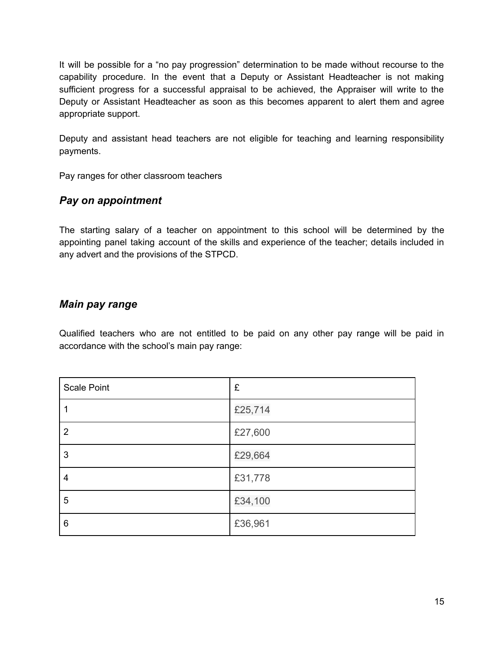It will be possible for a "no pay progression" determination to be made without recourse to the capability procedure. In the event that a Deputy or Assistant Headteacher is not making sufficient progress for a successful appraisal to be achieved, the Appraiser will write to the Deputy or Assistant Headteacher as soon as this becomes apparent to alert them and agree appropriate support.

Deputy and assistant head teachers are not eligible for teaching and learning responsibility payments.

Pay ranges for other classroom teachers

# *Pay on appointment*

The starting salary of a teacher on appointment to this school will be determined by the appointing panel taking account of the skills and experience of the teacher; details included in any advert and the provisions of the STPCD.

# *Main pay range*

Qualified teachers who are not entitled to be paid on any other pay range will be paid in accordance with the school's main pay range:

| <b>Scale Point</b> | £       |
|--------------------|---------|
|                    | £25,714 |
| 2                  | £27,600 |
| 3                  | £29,664 |
| 4                  | £31,778 |
| 5                  | £34,100 |
| 6                  | £36,961 |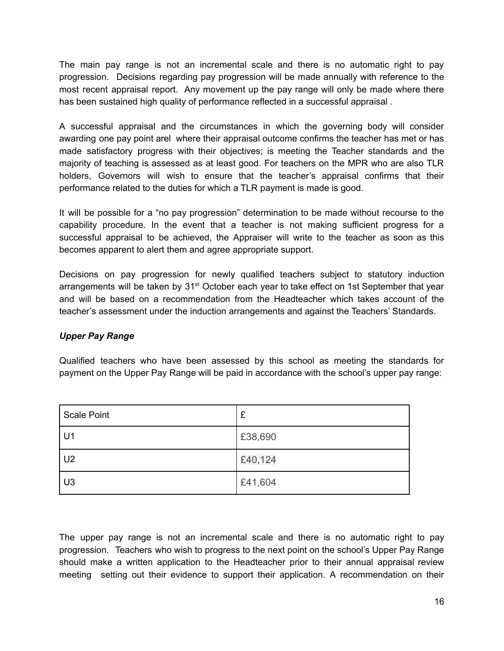The main pay range is not an incremental scale and there is no automatic right to pay progression. Decisions regarding pay progression will be made annually with reference to the most recent appraisal report. Any movement up the pay range will only be made where there has been sustained high quality of performance reflected in a successful appraisal .

A successful appraisal and the circumstances in which the governing body will consider awarding one pay point arel where their appraisal outcome confirms the teacher has met or has made satisfactory progress with their objectives; is meeting the Teacher standards and the majority of teaching is assessed as at least good. For teachers on the MPR who are also TLR holders, Governors will wish to ensure that the teacher's appraisal confirms that their performance related to the duties for which a TLR payment is made is good.

It will be possible for a "no pay progression" determination to be made without recourse to the capability procedure. In the event that a teacher is not making sufficient progress for a successful appraisal to be achieved, the Appraiser will write to the teacher as soon as this becomes apparent to alert them and agree appropriate support.

Decisions on pay progression for newly qualified teachers subject to statutory induction arrangements will be taken by 31<sup>st</sup> October each year to take effect on 1st September that year and will be based on a recommendation from the Headteacher which takes account of the teacher's assessment under the induction arrangements and against the Teachers' Standards.

### *Upper Pay Range*

Qualified teachers who have been assessed by this school as meeting the standards for payment on the Upper Pay Range will be paid in accordance with the school's upper pay range:

| Scale Point    | £       |
|----------------|---------|
| U1             | £38,690 |
| U <sub>2</sub> | £40,124 |
| U3             | £41,604 |

The upper pay range is not an incremental scale and there is no automatic right to pay progression. Teachers who wish to progress to the next point on the school's Upper Pay Range should make a written application to the Headteacher prior to their annual appraisal review meeting setting out their evidence to support their application. A recommendation on their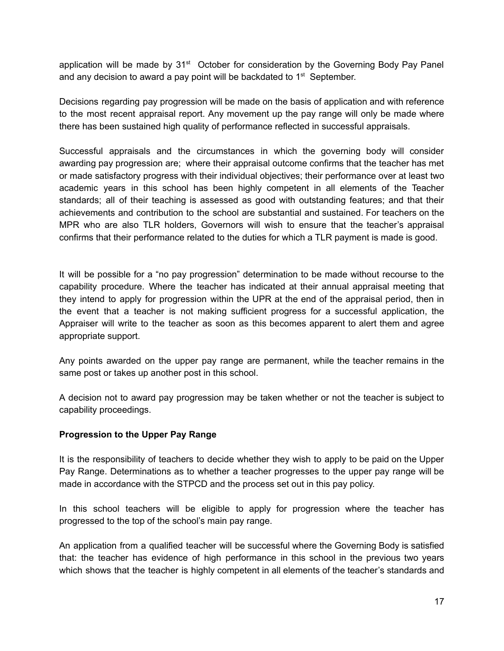application will be made by 31<sup>st</sup> October for consideration by the Governing Body Pay Panel and any decision to award a pay point will be backdated to  $1<sup>st</sup>$  September.

Decisions regarding pay progression will be made on the basis of application and with reference to the most recent appraisal report. Any movement up the pay range will only be made where there has been sustained high quality of performance reflected in successful appraisals.

Successful appraisals and the circumstances in which the governing body will consider awarding pay progression are; where their appraisal outcome confirms that the teacher has met or made satisfactory progress with their individual objectives; their performance over at least two academic years in this school has been highly competent in all elements of the Teacher standards; all of their teaching is assessed as good with outstanding features; and that their achievements and contribution to the school are substantial and sustained. For teachers on the MPR who are also TLR holders, Governors will wish to ensure that the teacher's appraisal confirms that their performance related to the duties for which a TLR payment is made is good.

It will be possible for a "no pay progression" determination to be made without recourse to the capability procedure. Where the teacher has indicated at their annual appraisal meeting that they intend to apply for progression within the UPR at the end of the appraisal period, then in the event that a teacher is not making sufficient progress for a successful application, the Appraiser will write to the teacher as soon as this becomes apparent to alert them and agree appropriate support.

Any points awarded on the upper pay range are permanent, while the teacher remains in the same post or takes up another post in this school.

A decision not to award pay progression may be taken whether or not the teacher is subject to capability proceedings.

### **Progression to the Upper Pay Range**

It is the responsibility of teachers to decide whether they wish to apply to be paid on the Upper Pay Range. Determinations as to whether a teacher progresses to the upper pay range will be made in accordance with the STPCD and the process set out in this pay policy.

In this school teachers will be eligible to apply for progression where the teacher has progressed to the top of the school's main pay range.

An application from a qualified teacher will be successful where the Governing Body is satisfied that: the teacher has evidence of high performance in this school in the previous two years which shows that the teacher is highly competent in all elements of the teacher's standards and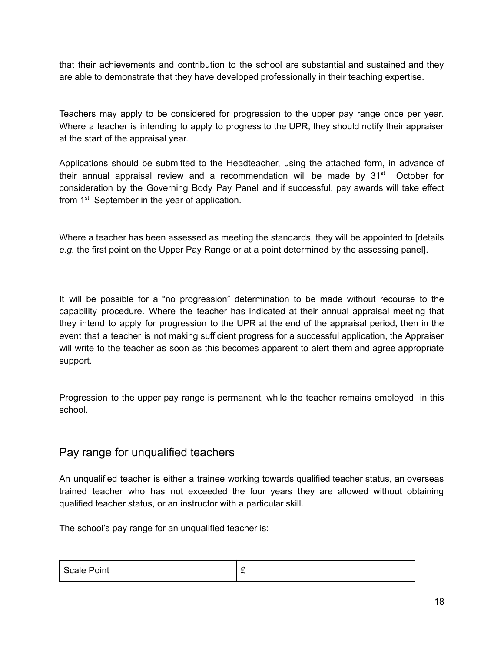that their achievements and contribution to the school are substantial and sustained and they are able to demonstrate that they have developed professionally in their teaching expertise.

Teachers may apply to be considered for progression to the upper pay range once per year. Where a teacher is intending to apply to progress to the UPR, they should notify their appraiser at the start of the appraisal year.

Applications should be submitted to the Headteacher, using the attached form, in advance of their annual appraisal review and a recommendation will be made by  $31<sup>st</sup>$  October for consideration by the Governing Body Pay Panel and if successful, pay awards will take effect from 1<sup>st</sup> September in the year of application.

Where a teacher has been assessed as meeting the standards, they will be appointed to [details *e.g.* the first point on the Upper Pay Range or at a point determined by the assessing panel].

It will be possible for a "no progression" determination to be made without recourse to the capability procedure. Where the teacher has indicated at their annual appraisal meeting that they intend to apply for progression to the UPR at the end of the appraisal period, then in the event that a teacher is not making sufficient progress for a successful application, the Appraiser will write to the teacher as soon as this becomes apparent to alert them and agree appropriate support.

Progression to the upper pay range is permanent, while the teacher remains employed in this school.

# Pay range for unqualified teachers

An unqualified teacher is either a trainee working towards qualified teacher status, an overseas trained teacher who has not exceeded the four years they are allowed without obtaining qualified teacher status, or an instructor with a particular skill.

The school's pay range for an unqualified teacher is:

| Scale Point | - |
|-------------|---|
|             |   |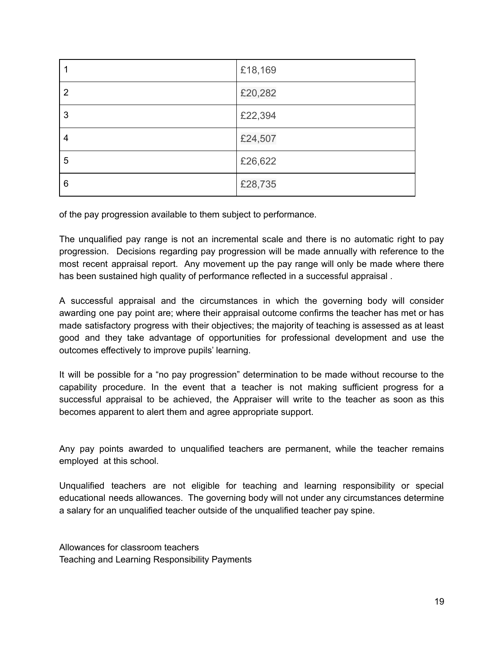|                | £18,169 |
|----------------|---------|
| $\overline{2}$ | £20,282 |
| 3              | £22,394 |
| 4              | £24,507 |
| 5              | £26,622 |
| 6              | £28,735 |

of the pay progression available to them subject to performance.

The unqualified pay range is not an incremental scale and there is no automatic right to pay progression. Decisions regarding pay progression will be made annually with reference to the most recent appraisal report. Any movement up the pay range will only be made where there has been sustained high quality of performance reflected in a successful appraisal .

A successful appraisal and the circumstances in which the governing body will consider awarding one pay point are; where their appraisal outcome confirms the teacher has met or has made satisfactory progress with their objectives; the majority of teaching is assessed as at least good and they take advantage of opportunities for professional development and use the outcomes effectively to improve pupils' learning.

It will be possible for a "no pay progression" determination to be made without recourse to the capability procedure. In the event that a teacher is not making sufficient progress for a successful appraisal to be achieved, the Appraiser will write to the teacher as soon as this becomes apparent to alert them and agree appropriate support.

Any pay points awarded to unqualified teachers are permanent, while the teacher remains employed at this school.

Unqualified teachers are not eligible for teaching and learning responsibility or special educational needs allowances. The governing body will not under any circumstances determine a salary for an unqualified teacher outside of the unqualified teacher pay spine.

Allowances for classroom teachers Teaching and Learning Responsibility Payments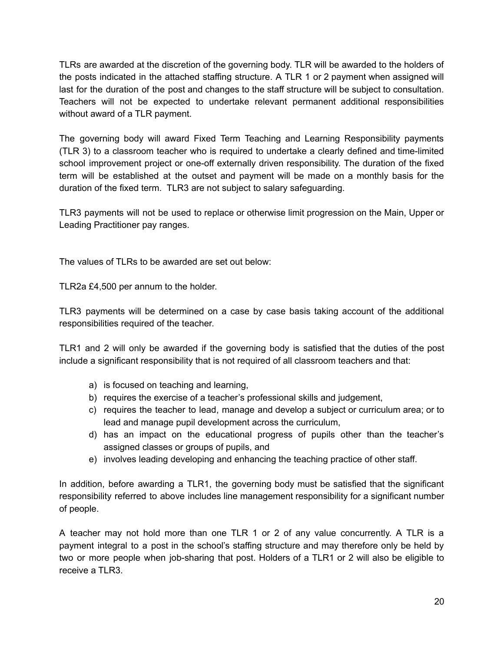TLRs are awarded at the discretion of the governing body. TLR will be awarded to the holders of the posts indicated in the attached staffing structure. A TLR 1 or 2 payment when assigned will last for the duration of the post and changes to the staff structure will be subject to consultation. Teachers will not be expected to undertake relevant permanent additional responsibilities without award of a TLR payment.

The governing body will award Fixed Term Teaching and Learning Responsibility payments (TLR 3) to a classroom teacher who is required to undertake a clearly defined and time-limited school improvement project or one-off externally driven responsibility. The duration of the fixed term will be established at the outset and payment will be made on a monthly basis for the duration of the fixed term. TLR3 are not subject to salary safeguarding.

TLR3 payments will not be used to replace or otherwise limit progression on the Main, Upper or Leading Practitioner pay ranges.

The values of TLRs to be awarded are set out below:

TLR2a £4,500 per annum to the holder.

TLR3 payments will be determined on a case by case basis taking account of the additional responsibilities required of the teacher.

TLR1 and 2 will only be awarded if the governing body is satisfied that the duties of the post include a significant responsibility that is not required of all classroom teachers and that:

- a) is focused on teaching and learning,
- b) requires the exercise of a teacher's professional skills and judgement,
- c) requires the teacher to lead, manage and develop a subject or curriculum area; or to lead and manage pupil development across the curriculum,
- d) has an impact on the educational progress of pupils other than the teacher's assigned classes or groups of pupils, and
- e) involves leading developing and enhancing the teaching practice of other staff.

In addition, before awarding a TLR1, the governing body must be satisfied that the significant responsibility referred to above includes line management responsibility for a significant number of people.

A teacher may not hold more than one TLR 1 or 2 of any value concurrently. A TLR is a payment integral to a post in the school's staffing structure and may therefore only be held by two or more people when job-sharing that post. Holders of a TLR1 or 2 will also be eligible to receive a TLR3.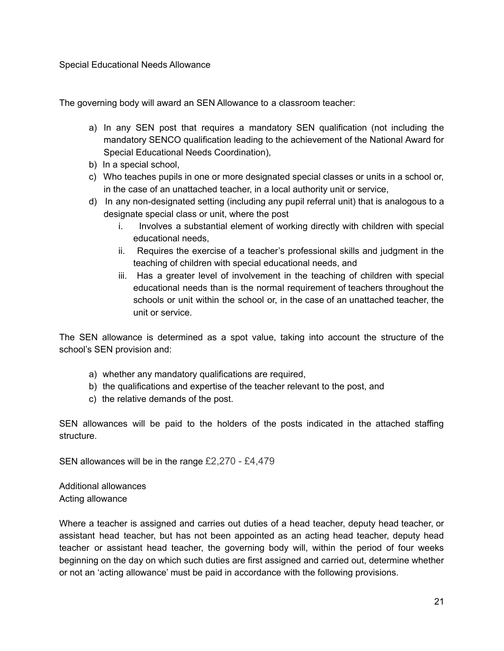Special Educational Needs Allowance

The governing body will award an SEN Allowance to a classroom teacher:

- a) In any SEN post that requires a mandatory SEN qualification (not including the mandatory SENCO qualification leading to the achievement of the National Award for Special Educational Needs Coordination),
- b) In a special school,
- c) Who teaches pupils in one or more designated special classes or units in a school or, in the case of an unattached teacher, in a local authority unit or service,
- d) In any non-designated setting (including any pupil referral unit) that is analogous to a designate special class or unit, where the post
	- i. Involves a substantial element of working directly with children with special educational needs,
	- ii. Requires the exercise of a teacher's professional skills and judgment in the teaching of children with special educational needs, and
	- iii. Has a greater level of involvement in the teaching of children with special educational needs than is the normal requirement of teachers throughout the schools or unit within the school or, in the case of an unattached teacher, the unit or service.

The SEN allowance is determined as a spot value, taking into account the structure of the school's SEN provision and:

- a) whether any mandatory qualifications are required,
- b) the qualifications and expertise of the teacher relevant to the post, and
- c) the relative demands of the post.

SEN allowances will be paid to the holders of the posts indicated in the attached staffing structure.

SEN allowances will be in the range £2,270 - £4,479

Additional allowances Acting allowance

Where a teacher is assigned and carries out duties of a head teacher, deputy head teacher, or assistant head teacher, but has not been appointed as an acting head teacher, deputy head teacher or assistant head teacher, the governing body will, within the period of four weeks beginning on the day on which such duties are first assigned and carried out, determine whether or not an 'acting allowance' must be paid in accordance with the following provisions.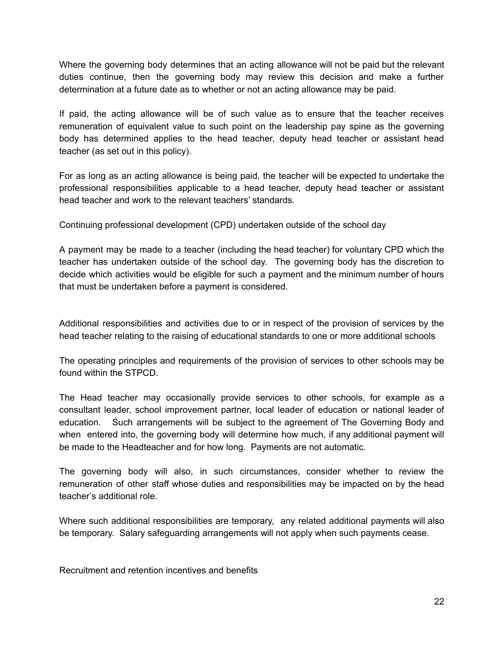Where the governing body determines that an acting allowance will not be paid but the relevant duties continue, then the governing body may review this decision and make a further determination at a future date as to whether or not an acting allowance may be paid.

If paid, the acting allowance will be of such value as to ensure that the teacher receives remuneration of equivalent value to such point on the leadership pay spine as the governing body has determined applies to the head teacher, deputy head teacher or assistant head teacher (as set out in this policy).

For as long as an acting allowance is being paid, the teacher will be expected to undertake the professional responsibilities applicable to a head teacher, deputy head teacher or assistant head teacher and work to the relevant teachers' standards.

Continuing professional development (CPD) undertaken outside of the school day

A payment may be made to a teacher (including the head teacher) for voluntary CPD which the teacher has undertaken outside of the school day. The governing body has the discretion to decide which activities would be eligible for such a payment and the minimum number of hours that must be undertaken before a payment is considered.

Additional responsibilities and activities due to or in respect of the provision of services by the head teacher relating to the raising of educational standards to one or more additional schools

The operating principles and requirements of the provision of services to other schools may be found within the STPCD.

The Head teacher may occasionally provide services to other schools, for example as a consultant leader, school improvement partner, local leader of education or national leader of education. Such arrangements will be subject to the agreement of The Governing Body and when entered into, the governing body will determine how much, if any additional payment will be made to the Headteacher and for how long. Payments are not automatic.

The governing body will also, in such circumstances, consider whether to review the remuneration of other staff whose duties and responsibilities may be impacted on by the head teacher's additional role.

Where such additional responsibilities are temporary, any related additional payments will also be temporary. Salary safeguarding arrangements will not apply when such payments cease.

Recruitment and retention incentives and benefits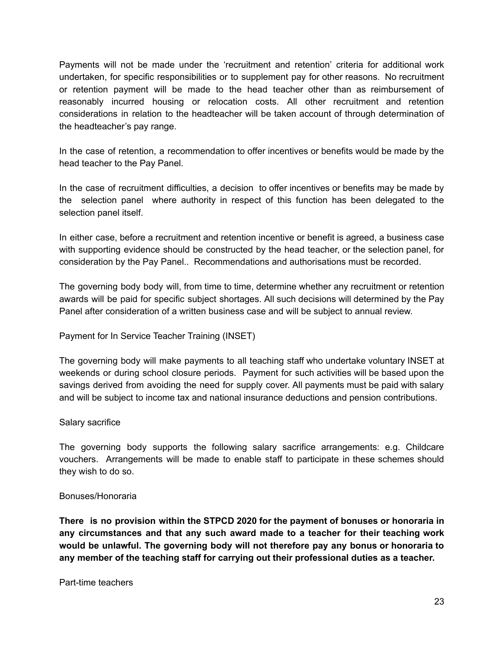Payments will not be made under the 'recruitment and retention' criteria for additional work undertaken, for specific responsibilities or to supplement pay for other reasons. No recruitment or retention payment will be made to the head teacher other than as reimbursement of reasonably incurred housing or relocation costs. All other recruitment and retention considerations in relation to the headteacher will be taken account of through determination of the headteacher's pay range.

In the case of retention, a recommendation to offer incentives or benefits would be made by the head teacher to the Pay Panel.

In the case of recruitment difficulties, a decision to offer incentives or benefits may be made by the selection panel where authority in respect of this function has been delegated to the selection panel itself.

In either case, before a recruitment and retention incentive or benefit is agreed, a business case with supporting evidence should be constructed by the head teacher, or the selection panel, for consideration by the Pay Panel.. Recommendations and authorisations must be recorded.

The governing body body will, from time to time, determine whether any recruitment or retention awards will be paid for specific subject shortages. All such decisions will determined by the Pay Panel after consideration of a written business case and will be subject to annual review.

Payment for In Service Teacher Training (INSET)

The governing body will make payments to all teaching staff who undertake voluntary INSET at weekends or during school closure periods. Payment for such activities will be based upon the savings derived from avoiding the need for supply cover. All payments must be paid with salary and will be subject to income tax and national insurance deductions and pension contributions.

### Salary sacrifice

The governing body supports the following salary sacrifice arrangements: e.g. Childcare vouchers. Arrangements will be made to enable staff to participate in these schemes should they wish to do so.

### Bonuses/Honoraria

**There is no provision within the STPCD 2020 for the payment of bonuses or honoraria in any circumstances and that any such award made to a teacher for their teaching work would be unlawful. The governing body will not therefore pay any bonus or honoraria to any member of the teaching staff for carrying out their professional duties as a teacher.**

Part-time teachers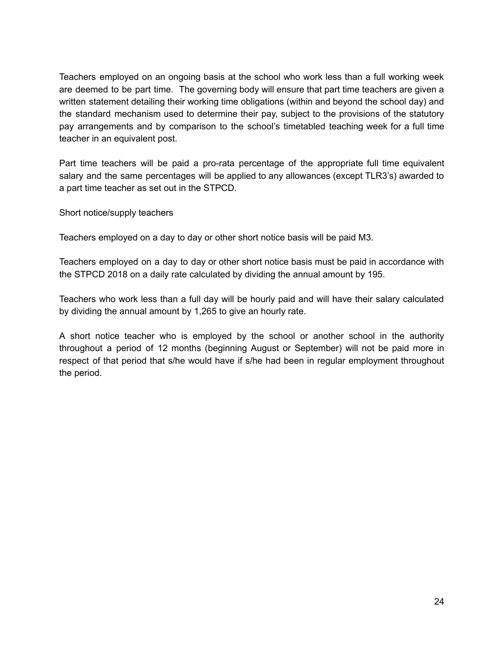Teachers employed on an ongoing basis at the school who work less than a full working week are deemed to be part time. The governing body will ensure that part time teachers are given a written statement detailing their working time obligations (within and beyond the school day) and the standard mechanism used to determine their pay, subject to the provisions of the statutory pay arrangements and by comparison to the school's timetabled teaching week for a full time teacher in an equivalent post.

Part time teachers will be paid a pro-rata percentage of the appropriate full time equivalent salary and the same percentages will be applied to any allowances (except TLR3's) awarded to a part time teacher as set out in the STPCD.

Short notice/supply teachers

Teachers employed on a day to day or other short notice basis will be paid M3.

Teachers employed on a day to day or other short notice basis must be paid in accordance with the STPCD 2018 on a daily rate calculated by dividing the annual amount by 195.

Teachers who work less than a full day will be hourly paid and will have their salary calculated by dividing the annual amount by 1,265 to give an hourly rate.

A short notice teacher who is employed by the school or another school in the authority throughout a period of 12 months (beginning August or September) will not be paid more in respect of that period that s/he would have if s/he had been in regular employment throughout the period.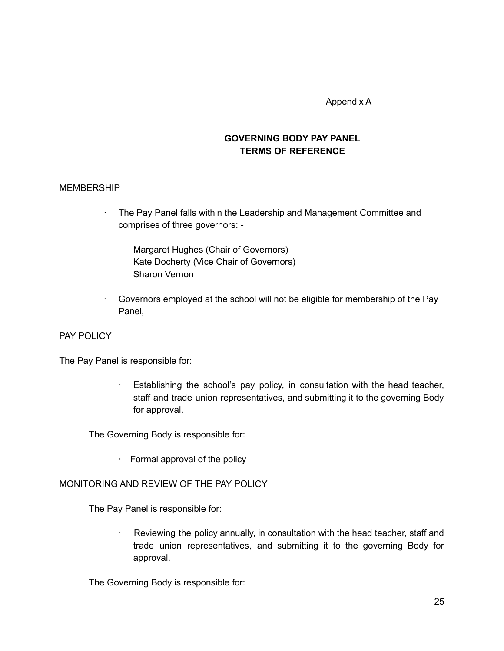Appendix A

### **GOVERNING BODY PAY PANEL TERMS OF REFERENCE**

#### MEMBERSHIP

· The Pay Panel falls within the Leadership and Management Committee and comprises of three governors: -

Margaret Hughes (Chair of Governors) Kate Docherty (Vice Chair of Governors) Sharon Vernon

· Governors employed at the school will not be eligible for membership of the Pay Panel,

### PAY POLICY

The Pay Panel is responsible for:

· Establishing the school's pay policy, in consultation with the head teacher, staff and trade union representatives, and submitting it to the governing Body for approval.

The Governing Body is responsible for:

· Formal approval of the policy

### MONITORING AND REVIEW OF THE PAY POLICY

The Pay Panel is responsible for:

Reviewing the policy annually, in consultation with the head teacher, staff and trade union representatives, and submitting it to the governing Body for approval.

The Governing Body is responsible for: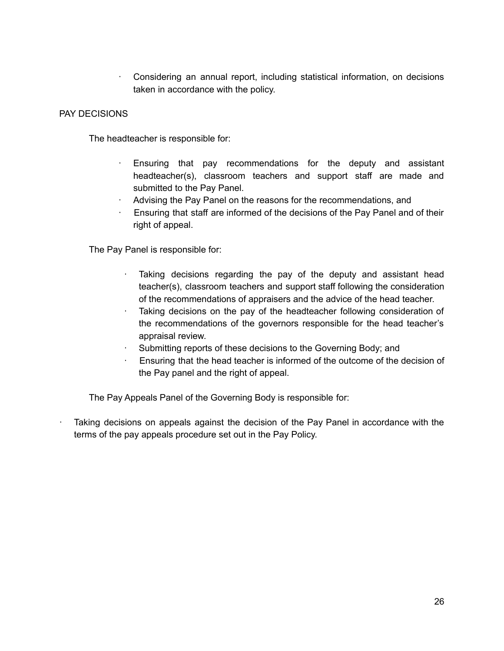· Considering an annual report, including statistical information, on decisions taken in accordance with the policy.

### PAY DECISIONS

The headteacher is responsible for:

- Ensuring that pay recommendations for the deputy and assistant headteacher(s), classroom teachers and support staff are made and submitted to the Pay Panel.
- Advising the Pay Panel on the reasons for the recommendations, and
- · Ensuring that staff are informed of the decisions of the Pay Panel and of their right of appeal.

The Pay Panel is responsible for:

- Taking decisions regarding the pay of the deputy and assistant head teacher(s), classroom teachers and support staff following the consideration of the recommendations of appraisers and the advice of the head teacher.
- Taking decisions on the pay of the headteacher following consideration of the recommendations of the governors responsible for the head teacher's appraisal review.
- Submitting reports of these decisions to the Governing Body; and
- Ensuring that the head teacher is informed of the outcome of the decision of the Pay panel and the right of appeal.

The Pay Appeals Panel of the Governing Body is responsible for:

Taking decisions on appeals against the decision of the Pay Panel in accordance with the terms of the pay appeals procedure set out in the Pay Policy.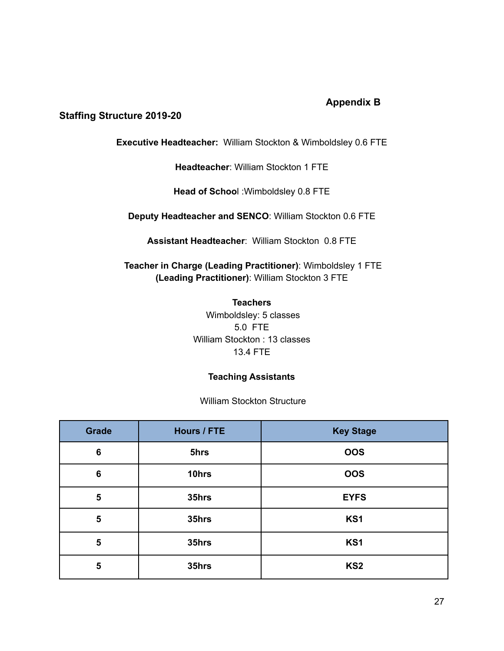# **Appendix B**

### **Staffing Structure 2019-20**

**Executive Headteacher:** William Stockton & Wimboldsley 0.6 FTE

**Headteacher**: William Stockton 1 FTE

**Head of Schoo**l :Wimboldsley 0.8 FTE

**Deputy Headteacher and SENCO**: William Stockton 0.6 FTE

**Assistant Headteacher**: William Stockton 0.8 FTE

**Teacher in Charge (Leading Practitioner)**: Wimboldsley 1 FTE **(Leading Practitioner)**: William Stockton 3 FTE

> **Teachers** Wimboldsley: 5 classes 5.0 FTE William Stockton : 13 classes 13.4 FTE

### **Teaching Assistants**

William Stockton Structure

| <b>Grade</b>    | <b>Hours / FTE</b> | <b>Key Stage</b> |
|-----------------|--------------------|------------------|
| $6\phantom{1}6$ | 5hrs               | <b>OOS</b>       |
| 6               | 10hrs              | <b>OOS</b>       |
| 5               | 35hrs              | <b>EYFS</b>      |
| $5\phantom{1}$  | 35hrs              | KS1              |
| $5\phantom{1}$  | 35hrs              | KS1              |
| $5\phantom{1}$  | 35hrs              | KS <sub>2</sub>  |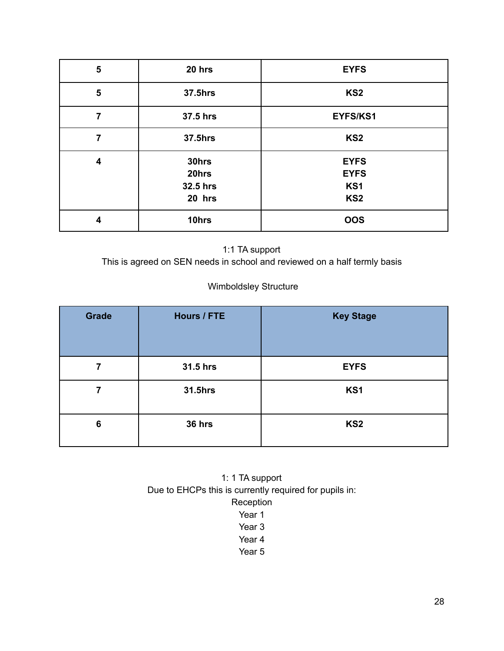| $5\phantom{1}$          | 20 hrs                               | <b>EYFS</b>                                          |
|-------------------------|--------------------------------------|------------------------------------------------------|
| $5\phantom{1}$          | <b>37.5hrs</b>                       | KS <sub>2</sub>                                      |
| 7                       | 37.5 hrs                             | EYFS/KS1                                             |
| 7                       | <b>37.5hrs</b>                       | KS <sub>2</sub>                                      |
| $\overline{\mathbf{4}}$ | 30hrs<br>20hrs<br>32.5 hrs<br>20 hrs | <b>EYFS</b><br><b>EYFS</b><br>KS1<br>KS <sub>2</sub> |
| 4                       | 10hrs                                | <b>OOS</b>                                           |

# 1:1 TA support

This is agreed on SEN needs in school and reviewed on a half termly basis

# Wimboldsley Structure

| <b>Grade</b> | Hours / FTE    | <b>Key Stage</b> |
|--------------|----------------|------------------|
|              | 31.5 hrs       | <b>EYFS</b>      |
|              | <b>31.5hrs</b> | KS1              |
| 6            | 36 hrs         | KS <sub>2</sub>  |

1: 1 TA support Due to EHCPs this is currently required for pupils in: Reception Year 1

- Year 3
- Year 4
- 
- Year 5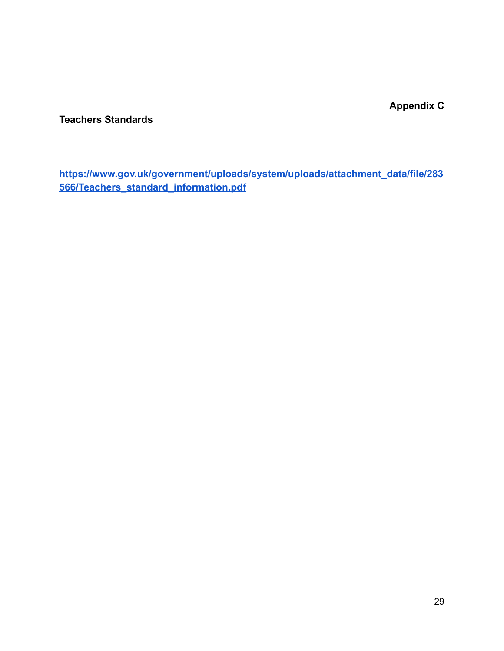**Appendix C**

**Teachers Standards**

**[https://www.gov.uk/government/uploads/system/uploads/attachment\\_data/file/283](https://www.gov.uk/government/uploads/system/uploads/attachment_data/file/283566/Teachers_standard_information.pdf) [566/Teachers\\_standard\\_information.pdf](https://www.gov.uk/government/uploads/system/uploads/attachment_data/file/283566/Teachers_standard_information.pdf)**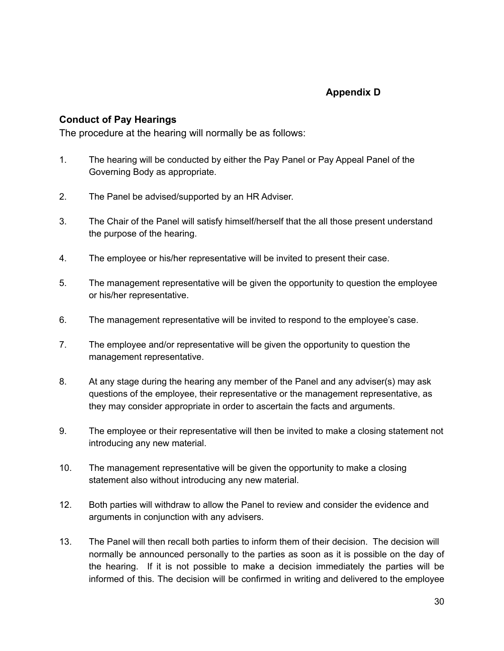# **Appendix D**

# **Conduct of Pay Hearings**

The procedure at the hearing will normally be as follows:

- 1. The hearing will be conducted by either the Pay Panel or Pay Appeal Panel of the Governing Body as appropriate.
- 2. The Panel be advised/supported by an HR Adviser.
- 3. The Chair of the Panel will satisfy himself/herself that the all those present understand the purpose of the hearing.
- 4. The employee or his/her representative will be invited to present their case.
- 5. The management representative will be given the opportunity to question the employee or his/her representative.
- 6. The management representative will be invited to respond to the employee's case.
- 7. The employee and/or representative will be given the opportunity to question the management representative.
- 8. At any stage during the hearing any member of the Panel and any adviser(s) may ask questions of the employee, their representative or the management representative, as they may consider appropriate in order to ascertain the facts and arguments.
- 9. The employee or their representative will then be invited to make a closing statement not introducing any new material.
- 10. The management representative will be given the opportunity to make a closing statement also without introducing any new material.
- 12. Both parties will withdraw to allow the Panel to review and consider the evidence and arguments in conjunction with any advisers.
- 13. The Panel will then recall both parties to inform them of their decision. The decision will normally be announced personally to the parties as soon as it is possible on the day of the hearing. If it is not possible to make a decision immediately the parties will be informed of this. The decision will be confirmed in writing and delivered to the employee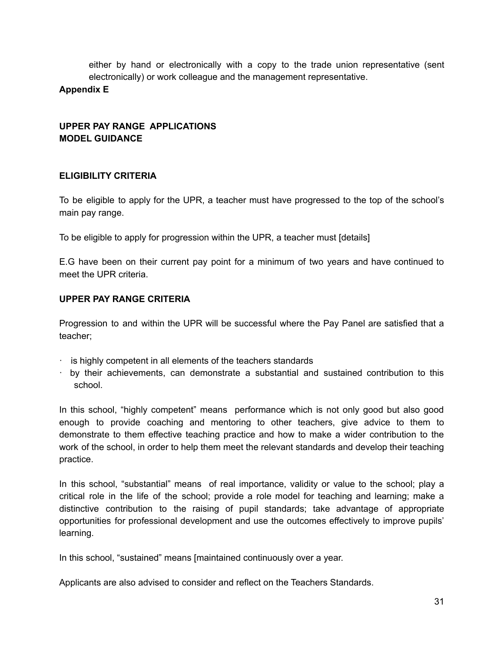either by hand or electronically with a copy to the trade union representative (sent electronically) or work colleague and the management representative.

### **Appendix E**

# **UPPER PAY RANGE APPLICATIONS MODEL GUIDANCE**

### **ELIGIBILITY CRITERIA**

To be eligible to apply for the UPR, a teacher must have progressed to the top of the school's main pay range.

To be eligible to apply for progression within the UPR, a teacher must [details]

E.G have been on their current pay point for a minimum of two years and have continued to meet the UPR criteria.

### **UPPER PAY RANGE CRITERIA**

Progression to and within the UPR will be successful where the Pay Panel are satisfied that a teacher;

- $\cdot$  is highly competent in all elements of the teachers standards
- · by their achievements, can demonstrate a substantial and sustained contribution to this school.

In this school, "highly competent" means performance which is not only good but also good enough to provide coaching and mentoring to other teachers, give advice to them to demonstrate to them effective teaching practice and how to make a wider contribution to the work of the school, in order to help them meet the relevant standards and develop their teaching practice.

In this school, "substantial" means of real importance, validity or value to the school; play a critical role in the life of the school; provide a role model for teaching and learning; make a distinctive contribution to the raising of pupil standards; take advantage of appropriate opportunities for professional development and use the outcomes effectively to improve pupils' learning.

In this school, "sustained" means [maintained continuously over a year.

Applicants are also advised to consider and reflect on the Teachers Standards.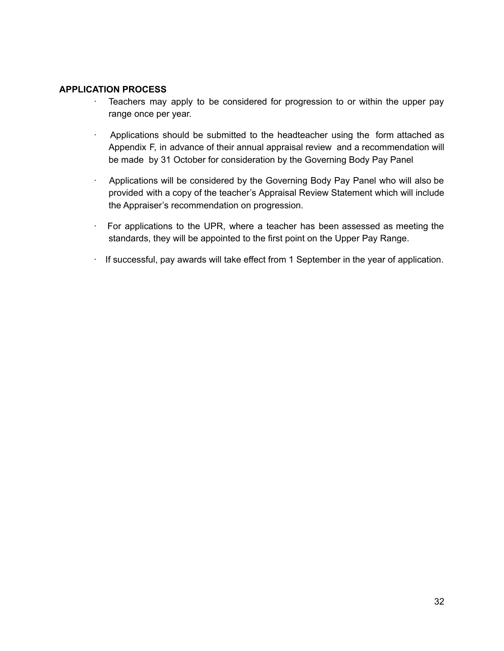#### **APPLICATION PROCESS**

- · Teachers may apply to be considered for progression to or within the upper pay range once per year.
- · Applications should be submitted to the headteacher using the form attached as Appendix F, in advance of their annual appraisal review and a recommendation will be made by 31 October for consideration by the Governing Body Pay Panel
- · Applications will be considered by the Governing Body Pay Panel who will also be provided with a copy of the teacher's Appraisal Review Statement which will include the Appraiser's recommendation on progression.
- · For applications to the UPR, where a teacher has been assessed as meeting the standards, they will be appointed to the first point on the Upper Pay Range.
- · If successful, pay awards will take effect from 1 September in the year of application.